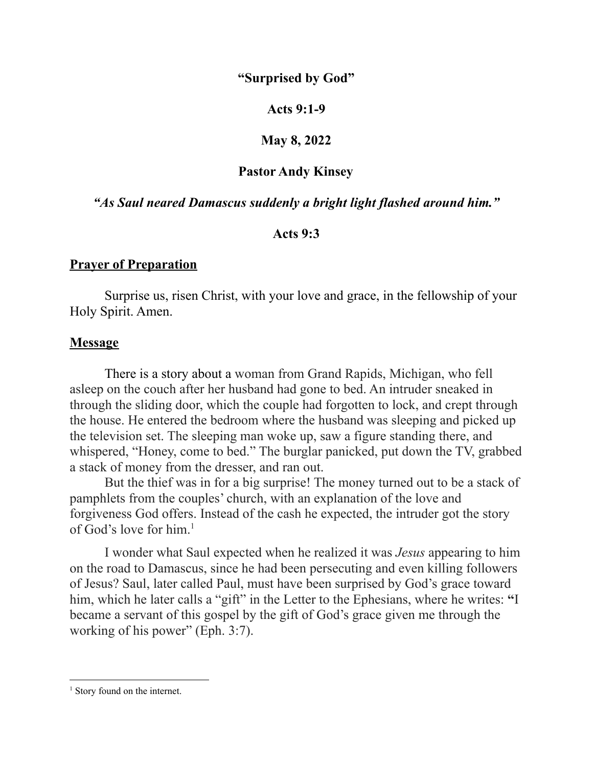# **"Surprised by God"**

## **Acts 9:1-9**

## **May 8, 2022**

# **Pastor Andy Kinsey**

## *"As Saul neared Damascus suddenly a bright light flashed around him."*

#### **Acts 9:3**

## **Prayer of Preparation**

Surprise us, risen Christ, with your love and grace, in the fellowship of your Holy Spirit. Amen.

#### **Message**

There is a story about a woman from Grand Rapids, Michigan, who fell asleep on the couch after her husband had gone to bed. An intruder sneaked in through the sliding door, which the couple had forgotten to lock, and crept through the house. He entered the bedroom where the husband was sleeping and picked up the television set. The sleeping man woke up, saw a figure standing there, and whispered, "Honey, come to bed." The burglar panicked, put down the TV, grabbed a stack of money from the dresser, and ran out.

But the thief was in for a big surprise! The money turned out to be a stack of pamphlets from the couples' church, with an explanation of the love and forgiveness God offers. Instead of the cash he expected, the intruder got the story of God's love for him. 1

I wonder what Saul expected when he realized it was *Jesus* appearing to him on the road to Damascus, since he had been persecuting and even killing followers of Jesus? Saul, later called Paul, must have been surprised by God's grace toward him, which he later calls a "gift" in the Letter to the Ephesians, where he writes: **"**I became a servant of this gospel by the gift of God's grace given me through the working of his power" [\(Eph.](https://biblia.com/bible/niv/Eph.%203.7) 3:7).

<sup>&</sup>lt;sup>1</sup> Story found on the internet.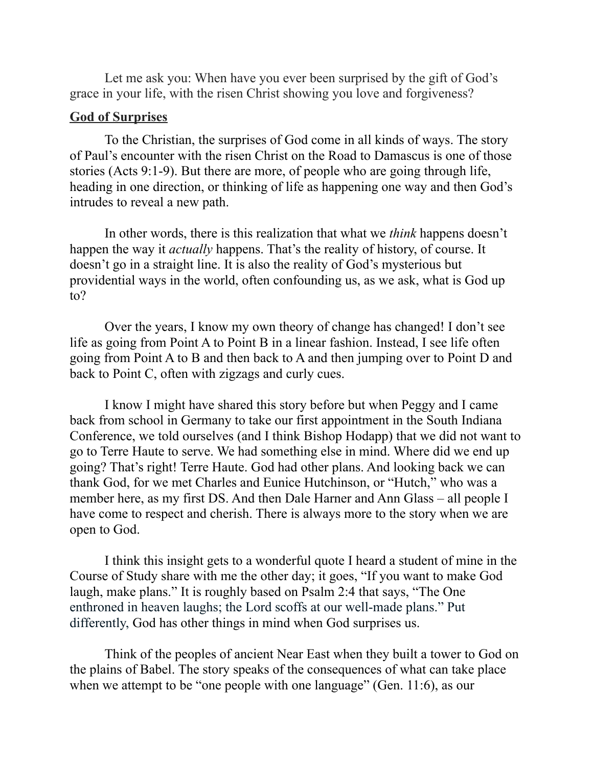Let me ask you: When have you ever been surprised by the gift of God's grace in your life, with the risen Christ showing you love and forgiveness?

#### **God of Surprises**

To the Christian, the surprises of God come in all kinds of ways. The story of Paul's encounter with the risen Christ on the Road to Damascus is one of those stories (Acts 9:1-9). But there are more, of people who are going through life, heading in one direction, or thinking of life as happening one way and then God's intrudes to reveal a new path.

In other words, there is this realization that what we *think* happens doesn't happen the way it *actually* happens. That's the reality of history, of course. It doesn't go in a straight line. It is also the reality of God's mysterious but providential ways in the world, often confounding us, as we ask, what is God up to?

Over the years, I know my own theory of change has changed! I don't see life as going from Point A to Point B in a linear fashion. Instead, I see life often going from Point A to B and then back to A and then jumping over to Point D and back to Point C, often with zigzags and curly cues.

I know I might have shared this story before but when Peggy and I came back from school in Germany to take our first appointment in the South Indiana Conference, we told ourselves (and I think Bishop Hodapp) that we did not want to go to Terre Haute to serve. We had something else in mind. Where did we end up going? That's right! Terre Haute. God had other plans. And looking back we can thank God, for we met Charles and Eunice Hutchinson, or "Hutch," who was a member here, as my first DS. And then Dale Harner and Ann Glass – all people I have come to respect and cherish. There is always more to the story when we are open to God.

I think this insight gets to a wonderful quote I heard a student of mine in the Course of Study share with me the other day; it goes, "If you want to make God laugh, make plans." It is roughly based on Psalm 2:4 that says, "The One enthroned in heaven laughs; the Lord scoffs at our well-made plans." Put differently, God has other things in mind when God surprises us.

Think of the peoples of ancient Near East when they built a tower to God on the plains of Babel. The story speaks of the consequences of what can take place when we attempt to be "one people with one language" (Gen. 11:6), as our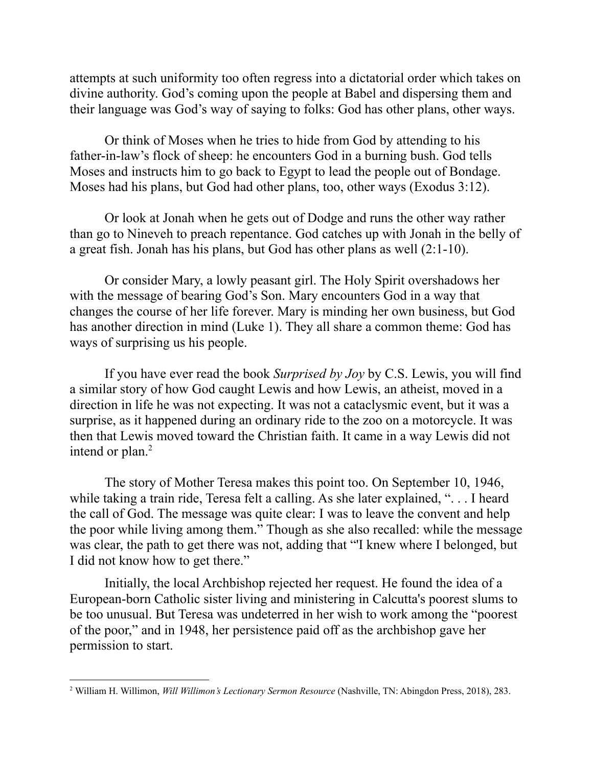attempts at such uniformity too often regress into a dictatorial order which takes on divine authority. God's coming upon the people at Babel and dispersing them and their language was God's way of saying to folks: God has other plans, other ways.

Or think of Moses when he tries to hide from God by attending to his father-in-law's flock of sheep: he encounters God in a burning bush. God tells Moses and instructs him to go back to Egypt to lead the people out of Bondage. Moses had his plans, but God had other plans, too, other ways (Exodus 3:12).

Or look at Jonah when he gets out of Dodge and runs the other way rather than go to Nineveh to preach repentance. God catches up with Jonah in the belly of a great fish. Jonah has his plans, but God has other plans as well (2:1-10).

Or consider Mary, a lowly peasant girl. The Holy Spirit overshadows her with the message of bearing God's Son. Mary encounters God in a way that changes the course of her life forever. Mary is minding her own business, but God has another direction in mind (Luke 1). They all share a common theme: God has ways of surprising us his people.

If you have ever read the book *Surprised by Joy* by C.S. Lewis, you will find a similar story of how God caught Lewis and how Lewis, an atheist, moved in a direction in life he was not expecting. It was not a cataclysmic event, but it was a surprise, as it happened during an ordinary ride to the zoo on a motorcycle. It was then that Lewis moved toward the Christian faith. It came in a way Lewis did not intend or plan. 2

The story of Mother Teresa makes this point too. On September 10, 1946, while taking a train ride, Teresa felt a calling. As she later explained, ". . . I heard the call of God. The message was quite clear: I was to leave the convent and help the poor while living among them." Though as she also recalled: while the message was clear, the path to get there was not, adding that "'I knew where I belonged, but I did not know how to get there."

Initially, the local Archbishop rejected her request. He found the idea of a European-born Catholic sister living and ministering in Calcutta's poorest slums to be too unusual. But Teresa was undeterred in her wish to work among the "poorest of the poor," and in 1948, her persistence paid off as the archbishop gave her permission to start.

<sup>2</sup> William H. Willimon, *Will Willimon's Lectionary Sermon Resource* (Nashville, TN: Abingdon Press, 2018), 283.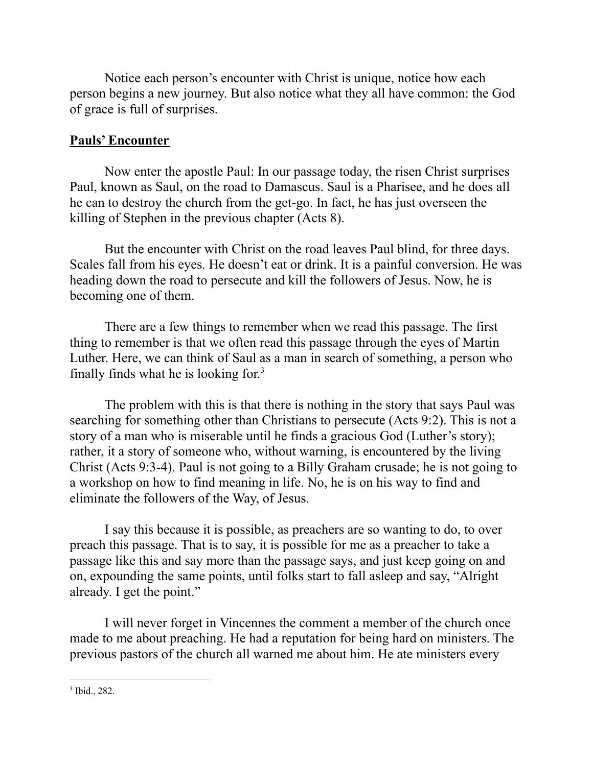Notice each person's encounter with Christ is unique, notice how each person begins a new journey. But also notice what they all have common: the God of grace is full of surprises.

# **Pauls' Encounter**

Now enter the apostle Paul: In our passage today, the risen Christ surprises Paul, known as Saul, on the road to Damascus. Saul is a Pharisee, and he does all he can to destroy the church from the get-go. In fact, he has just overseen the killing of Stephen in the previous chapter (Acts 8).

But the encounter with Christ on the road leaves Paul blind, for three days. Scales fall from his eyes. He doesn't eat or drink. It is a painful conversion. He was heading down the road to persecute and kill the followers of Jesus. Now, he is becoming one of them.

There are a few things to remember when we read this passage. The first thing to remember is that we often read this passage through the eyes of Martin Luther. Here, we can think of Saul as a man in search of something, a person who finally finds what he is looking for.<sup>3</sup>

The problem with this is that there is nothing in the story that says Paul was searching for something other than Christians to persecute (Acts 9:2). This is not a story of a man who is miserable until he finds a gracious God (Luther's story); rather, it a story of someone who, without warning, is encountered by the living Christ (Acts 9:3-4). Paul is not going to a Billy Graham crusade; he is not going to a workshop on how to find meaning in life. No, he is on his way to find and eliminate the followers of the Way, of Jesus.

I say this because it is possible, as preachers are so wanting to do, to over preach this passage. That is to say, it is possible for me as a preacher to take a passage like this and say more than the passage says, and just keep going on and on, expounding the same points, until folks start to fall asleep and say, "Alright already. I get the point."

I will never forget in Vincennes the comment a member of the church once made to me about preaching. He had a reputation for being hard on ministers. The previous pastors of the church all warned me about him. He ate ministers every

3 Ibid., 282.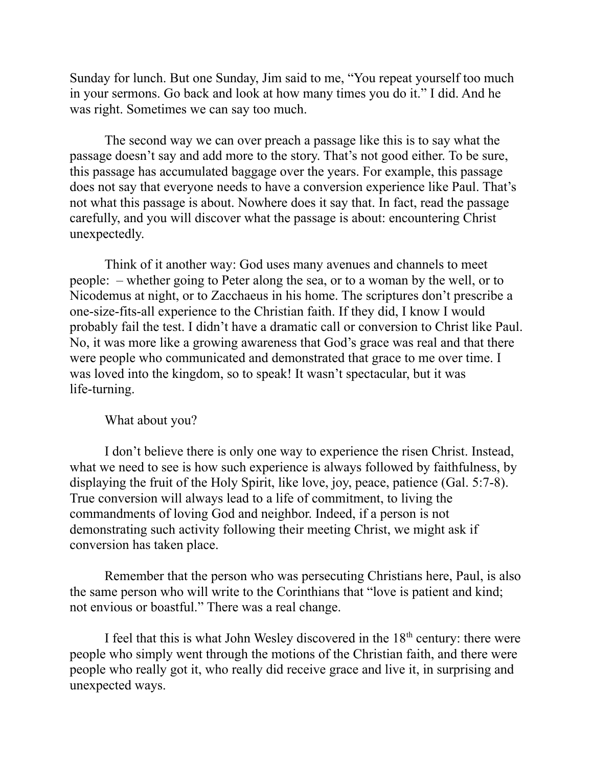Sunday for lunch. But one Sunday, Jim said to me, "You repeat yourself too much in your sermons. Go back and look at how many times you do it." I did. And he was right. Sometimes we can say too much.

The second way we can over preach a passage like this is to say what the passage doesn't say and add more to the story. That's not good either. To be sure, this passage has accumulated baggage over the years. For example, this passage does not say that everyone needs to have a conversion experience like Paul. That's not what this passage is about. Nowhere does it say that. In fact, read the passage carefully, and you will discover what the passage is about: encountering Christ unexpectedly.

Think of it another way: God uses many avenues and channels to meet people: – whether going to Peter along the sea, or to a woman by the well, or to Nicodemus at night, or to Zacchaeus in his home. The scriptures don't prescribe a one-size-fits-all experience to the Christian faith. If they did, I know I would probably fail the test. I didn't have a dramatic call or conversion to Christ like Paul. No, it was more like a growing awareness that God's grace was real and that there were people who communicated and demonstrated that grace to me over time. I was loved into the kingdom, so to speak! It wasn't spectacular, but it was life-turning.

What about you?

I don't believe there is only one way to experience the risen Christ. Instead, what we need to see is how such experience is always followed by faithfulness, by displaying the fruit of the Holy Spirit, like love, joy, peace, patience (Gal. 5:7-8). True conversion will always lead to a life of commitment, to living the commandments of loving God and neighbor. Indeed, if a person is not demonstrating such activity following their meeting Christ, we might ask if conversion has taken place.

Remember that the person who was persecuting Christians here, Paul, is also the same person who will write to the Corinthians that "love is patient and kind; not envious or boastful." There was a real change.

I feel that this is what John Wesley discovered in the  $18<sup>th</sup>$  century: there were people who simply went through the motions of the Christian faith, and there were people who really got it, who really did receive grace and live it, in surprising and unexpected ways.